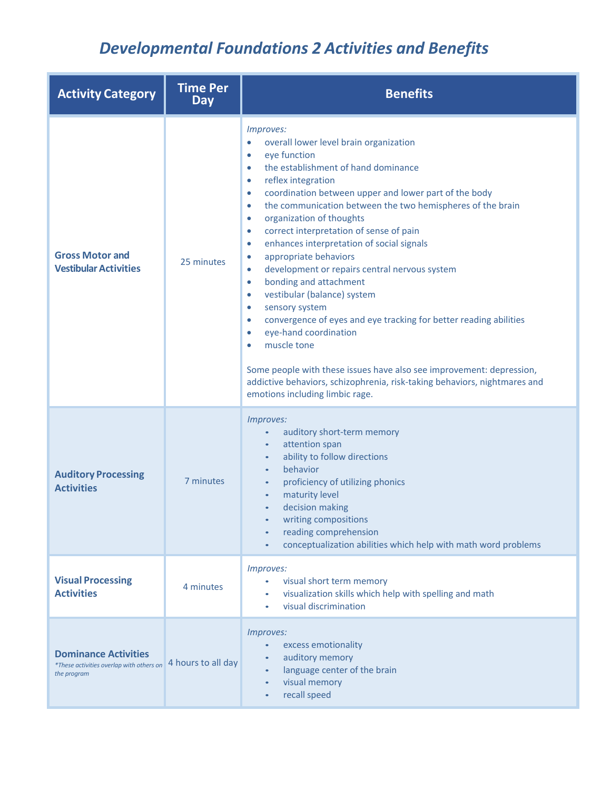## *Developmental Foundations 2 Activities and Benefits*

| <b>Activity Category</b>                                                               | <b>Time Per</b><br><b>Day</b> | <b>Benefits</b>                                                                                                                                                                                                                                                                                                                                                                                                                                                                                                                                                                                                                                                                                                                                                                                                                                                                                                                                                                                                                                                    |
|----------------------------------------------------------------------------------------|-------------------------------|--------------------------------------------------------------------------------------------------------------------------------------------------------------------------------------------------------------------------------------------------------------------------------------------------------------------------------------------------------------------------------------------------------------------------------------------------------------------------------------------------------------------------------------------------------------------------------------------------------------------------------------------------------------------------------------------------------------------------------------------------------------------------------------------------------------------------------------------------------------------------------------------------------------------------------------------------------------------------------------------------------------------------------------------------------------------|
| <b>Gross Motor and</b><br><b>Vestibular Activities</b>                                 | 25 minutes                    | Improves:<br>overall lower level brain organization<br>$\bullet$<br>eye function<br>$\bullet$<br>the establishment of hand dominance<br>$\bullet$<br>reflex integration<br>$\bullet$<br>coordination between upper and lower part of the body<br>$\bullet$<br>the communication between the two hemispheres of the brain<br>$\bullet$<br>organization of thoughts<br>$\bullet$<br>correct interpretation of sense of pain<br>$\bullet$<br>enhances interpretation of social signals<br>$\bullet$<br>appropriate behaviors<br>$\bullet$<br>development or repairs central nervous system<br>$\bullet$<br>bonding and attachment<br>$\bullet$<br>vestibular (balance) system<br>$\bullet$<br>sensory system<br>$\bullet$<br>convergence of eyes and eye tracking for better reading abilities<br>$\bullet$<br>eye-hand coordination<br>$\bullet$<br>muscle tone<br>$\bullet$<br>Some people with these issues have also see improvement: depression,<br>addictive behaviors, schizophrenia, risk-taking behaviors, nightmares and<br>emotions including limbic rage. |
| <b>Auditory Processing</b><br><b>Activities</b>                                        | 7 minutes                     | Improves:<br>auditory short-term memory<br>$\bullet$<br>attention span<br>$\bullet$<br>ability to follow directions<br>$\bullet$<br>behavior<br>$\bullet$<br>proficiency of utilizing phonics<br>$\bullet$<br>maturity level<br>$\bullet$<br>decision making<br>$\bullet$<br>writing compositions<br>reading comprehension<br>$\bullet$<br>conceptualization abilities which help with math word problems                                                                                                                                                                                                                                                                                                                                                                                                                                                                                                                                                                                                                                                          |
| <b>Visual Processing</b><br><b>Activities</b>                                          | 4 minutes                     | Improves:<br>visual short term memory<br>visualization skills which help with spelling and math<br>$\bullet$<br>visual discrimination                                                                                                                                                                                                                                                                                                                                                                                                                                                                                                                                                                                                                                                                                                                                                                                                                                                                                                                              |
| <b>Dominance Activities</b><br>*These activities overlap with others on<br>the program | 4 hours to all day            | Improves:<br>excess emotionality<br>$\bullet$<br>auditory memory<br>$\bullet$<br>language center of the brain<br>$\bullet$<br>visual memory<br>$\bullet$<br>recall speed<br>$\bullet$                                                                                                                                                                                                                                                                                                                                                                                                                                                                                                                                                                                                                                                                                                                                                                                                                                                                              |